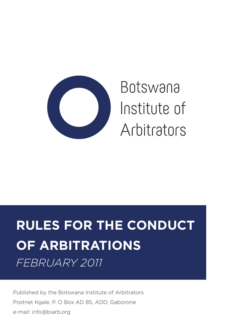

Botswana Institute of Arbitrators

# **RULES FOR THE CONDUCT OF ARBITRATIONS** *FEBRUARY 2011*

Published by the Botswana Institute of Arbitrators Postnet Kgale, P. O Box AD 85, ADD, Gaborone e-mail: info@biarb.org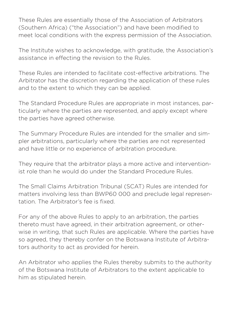These Rules are essentially those of the Association of Arbitrators (Southern Africa) ("the Association") and have been modified to meet local conditions with the express permission of the Association.

The Institute wishes to acknowledge, with gratitude, the Association's assistance in effecting the revision to the Rules.

These Rules are intended to facilitate cost-effective arbitrations. The Arbitrator has the discretion regarding the application of these rules and to the extent to which they can be applied.

The Standard Procedure Rules are appropriate in most instances, particularly where the parties are represented, and apply except where the parties have agreed otherwise.

The Summary Procedure Rules are intended for the smaller and simpler arbitrations, particularly where the parties are not represented and have little or no experience of arbitration procedure.

They require that the arbitrator plays a more active and interventionist role than he would do under the Standard Procedure Rules.

The Small Claims Arbitration Tribunal (SCAT) Rules are intended for matters involving less than BWP60 000 and preclude legal representation. The Arbitrator's fee is fixed.

For any of the above Rules to apply to an arbitration, the parties thereto must have agreed, in their arbitration agreement, or otherwise in writing, that such Rules are applicable. Where the parties have so agreed, they thereby confer on the Botswana Institute of Arbitrators authority to act as provided for herein.

An Arbitrator who applies the Rules thereby submits to the authority of the Botswana Institute of Arbitrators to the extent applicable to him as stipulated herein.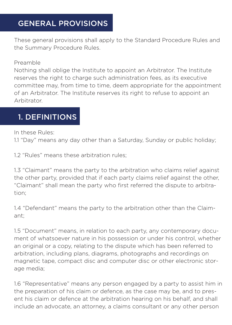# GENERAL PROVISIONS

These general provisions shall apply to the Standard Procedure Rules and the Summary Procedure Rules.

#### Preamble

Nothing shall oblige the Institute to appoint an Arbitrator. The Institute reserves the right to charge such administration fees, as its executive committee may, from time to time, deem appropriate for the appointment of an Arbitrator. The Institute reserves its right to refuse to appoint an Arbitrator.

#### 1. DEFINITIONS

In these Rules:

1.1 "Day" means any day other than a Saturday, Sunday or public holiday;

1.2 "Rules" means these arbitration rules;

1.3 "Claimant" means the party to the arbitration who claims relief against the other party, provided that if each party claims relief against the other, "Claimant" shall mean the party who first referred the dispute to arbitration;

1.4 "Defendant" means the party to the arbitration other than the Claimant;

1.5 "Document" means, in relation to each party, any contemporary document of whatsoever nature in his possession or under his control, whether an original or a copy, relating to the dispute which has been referred to arbitration, including plans, diagrams, photographs and recordings on magnetic tape, compact disc and computer disc or other electronic storage media;

1.6 "Representative" means any person engaged by a party to assist him in the preparation of his claim or defence, as the case may be, and to present his claim or defence at the arbitration hearing on his behalf, and shall include an advocate, an attorney, a claims consultant or any other person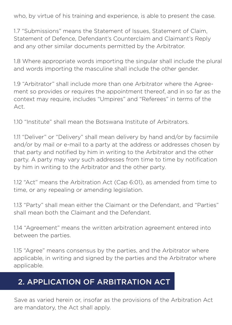who, by virtue of his training and experience, is able to present the case.

1.7 "Submissions" means the Statement of Issues, Statement of Claim, Statement of Defence, Defendant's Counterclaim and Claimant's Reply and any other similar documents permitted by the Arbitrator.

1.8 Where appropriate words importing the singular shall include the plural and words importing the masculine shall include the other gender.

1.9 "Arbitrator" shall include more than one Arbitrator where the Agreement so provides or requires the appointment thereof, and in so far as the context may require, includes "Umpires" and "Referees" in terms of the Act.

1.10 "Institute" shall mean the Botswana Institute of Arbitrators.

1.11 "Deliver" or "Delivery" shall mean delivery by hand and/or by facsimile and/or by mail or e-mail to a party at the address or addresses chosen by that party and notified by him in writing to the Arbitrator and the other party. A party may vary such addresses from time to time by notification by him in writing to the Arbitrator and the other party.

1.12 "Act" means the Arbitration Act (Cap 6:01), as amended from time to time, or any repealing or amending legislation.

1.13 "Party" shall mean either the Claimant or the Defendant, and "Parties" shall mean both the Claimant and the Defendant.

1.14 "Agreement" means the written arbitration agreement entered into between the parties.

1.15 "Agree" means consensus by the parties, and the Arbitrator where applicable, in writing and signed by the parties and the Arbitrator where applicable.

### 2. APPLICATION OF ARBITRATION ACT

Save as varied herein or, insofar as the provisions of the Arbitration Act are mandatory, the Act shall apply.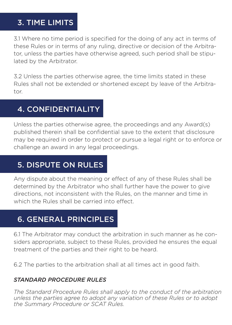### 3. TIME LIMITS

3.1 Where no time period is specified for the doing of any act in terms of these Rules or in terms of any ruling, directive or decision of the Arbitrator, unless the parties have otherwise agreed, such period shall be stipulated by the Arbitrator.

3.2 Unless the parties otherwise agree, the time limits stated in these Rules shall not be extended or shortened except by leave of the Arbitrator.

# 4. CONFIDENTIALITY

Unless the parties otherwise agree, the proceedings and any Award(s) published therein shall be confidential save to the extent that disclosure may be required in order to protect or pursue a legal right or to enforce or challenge an award in any legal proceedings.

# 5. DISPUTE ON RULES

Any dispute about the meaning or effect of any of these Rules shall be determined by the Arbitrator who shall further have the power to give directions, not inconsistent with the Rules, on the manner and time in which the Rules shall be carried into effect.

# 6. GENERAL PRINCIPLES

6.1 The Arbitrator may conduct the arbitration in such manner as he considers appropriate, subject to these Rules, provided he ensures the equal treatment of the parties and their right to be heard.

6.2 The parties to the arbitration shall at all times act in good faith.

#### *STANDARD PROCEDURE RULES*

*The Standard Procedure Rules shall apply to the conduct of the arbitration unless the parties agree to adopt any variation of these Rules or to adopt the Summary Procedure or SCAT Rules.*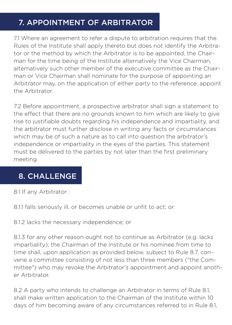# 7. APPOINTMENT OF ARBITRATOR

7.1 Where an agreement to refer a dispute to arbitration requires that the Rules of the Institute shall apply thereto but does not identify the Arbitrator or the method by which the Arbitrator is to be appointed, the Chairman for the time being of the Institute alternatively the Vice Chairman, alternatively such other member of the executive committee as the Chairman or Vice Chairman shall nominate for the purpose of appointing an Arbitrator may, on the application of either party to the reference, appoint the Arbitrator.

7.2 Before appointment, a prospective arbitrator shall sign a statement to the effect that there are no grounds known to him which are likely to give rise to justifiable doubts regarding his independence and impartiality, and the arbitrator must further disclose in writing any facts or circumstances which may be of such a nature as to call into question the arbitrator's independence or impartiality in the eyes of the parties. This statement must be delivered to the parties by not later than the first preliminary meeting.

#### 8. CHALLENGE

8.1 If any Arbitrator :

8.1.1 falls seriously ill, or becomes unable or unfit to act; or

8.1.2 lacks the necessary independence; or

8.1.3 for any other reason ought not to continue as Arbitrator (e.g. lacks impartiality); the Chairman of the Institute or his nominee from time to time shall, upon application as provided below, subject to Rule 8.7, convene a committee consisting of not less than three members ("the Committee") who may revoke the Arbitrator's appointment and appoint another Arbitrator.

8.2 A party who intends to challenge an Arbitrator in terms of Rule 8.1, shall make written application to the Chairman of the Institute within 10 days of him becoming aware of any circumstances referred to in Rule 8.1,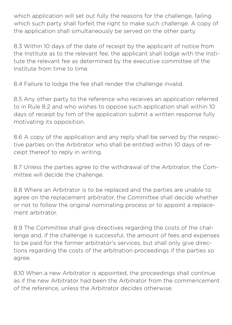which application will set out fully the reasons for the challenge, failing which such party shall forfeit the right to make such challenge. A copy of the application shall simultaneously be served on the other party.

8.3 Within 10 days of the date of receipt by the applicant of notice from the Institute as to the relevant fee, the applicant shall lodge with the Institute the relevant fee as determined by the executive committee of the Institute from time to time.

8.4 Failure to lodge the fee shall render the challenge invalid.

8.5 Any other party to the reference who receives an application referred to in Rule 8.2 and who wishes to oppose such application shall within 10 days of receipt by him of the application submit a written response fully motivating its opposition.

8.6 A copy of the application and any reply shall be served by the respective parties on the Arbitrator who shall be entitled within 10 days of receipt thereof to reply in writing.

8.7 Unless the parties agree to the withdrawal of the Arbitrator, the Committee will decide the challenge.

8.8 Where an Arbitrator is to be replaced and the parties are unable to agree on the replacement arbitrator, the Committee shall decide whether or not to follow the original nominating process or to appoint a replacement arbitrator.

8.9 The Committee shall give directives regarding the costs of the challenge and, if the challenge is successful, the amount of fees and expenses to be paid for the former arbitrator's services, but shall only give directions regarding the costs of the arbitration proceedings if the parties so agree.

8.10 When a new Arbitrator is appointed, the proceedings shall continue as if the new Arbitrator had been the Arbitrator from the commencement of the reference, unless the Arbitrator decides otherwise.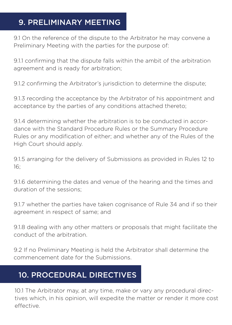### 9. PRELIMINARY MEETING

9.1 On the reference of the dispute to the Arbitrator he may convene a Preliminary Meeting with the parties for the purpose of:

9.1.1 confirming that the dispute falls within the ambit of the arbitration agreement and is ready for arbitration;

9.1.2 confirming the Arbitrator's jurisdiction to determine the dispute;

9.1.3 recording the acceptance by the Arbitrator of his appointment and acceptance by the parties of any conditions attached thereto;

9.1.4 determining whether the arbitration is to be conducted in accordance with the Standard Procedure Rules or the Summary Procedure Rules or any modification of either; and whether any of the Rules of the High Court should apply.

9.1.5 arranging for the delivery of Submissions as provided in Rules 12 to 16;

9.1.6 determining the dates and venue of the hearing and the times and duration of the sessions;

9.1.7 whether the parties have taken cognisance of Rule 34 and if so their agreement in respect of same; and

9.1.8 dealing with any other matters or proposals that might facilitate the conduct of the arbitration.

9.2 If no Preliminary Meeting is held the Arbitrator shall determine the commencement date for the Submissions.

### 10. PROCEDURAL DIRECTIVES

10.1 The Arbitrator may, at any time, make or vary any procedural directives which, in his opinion, will expedite the matter or render it more cost effective.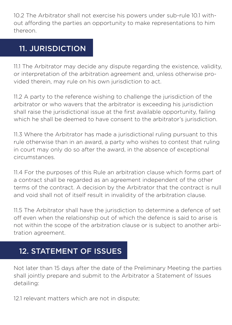10.2 The Arbitrator shall not exercise his powers under sub-rule 10.1 without affording the parties an opportunity to make representations to him thereon.

### 11. JURISDICTION

11.1 The Arbitrator may decide any dispute regarding the existence, validity, or interpretation of the arbitration agreement and, unless otherwise provided therein, may rule on his own jurisdiction to act.

11.2 A party to the reference wishing to challenge the jurisdiction of the arbitrator or who wavers that the arbitrator is exceeding his jurisdiction shall raise the jurisdictional issue at the first available opportunity, failing which he shall be deemed to have consent to the arbitrator's jurisdiction.

11.3 Where the Arbitrator has made a jurisdictional ruling pursuant to this rule otherwise than in an award, a party who wishes to contest that ruling in court may only do so after the award, in the absence of exceptional circumstances.

11.4 For the purposes of this Rule an arbitration clause which forms part of a contract shall be regarded as an agreement independent of the other terms of the contract. A decision by the Arbitrator that the contract is null and void shall not of itself result in invalidity of the arbitration clause.

11.5 The Arbitrator shall have the jurisdiction to determine a defence of set off even when the relationship out of which the defence is said to arise is not within the scope of the arbitration clause or is subject to another arbitration agreement.

### 12. STATEMENT OF ISSUES

Not later than 15 days after the date of the Preliminary Meeting the parties shall jointly prepare and submit to the Arbitrator a Statement of Issues detailing:

12.1 relevant matters which are not in dispute;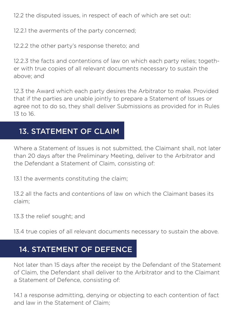12.2 the disputed issues, in respect of each of which are set out:

12.2.1 the averments of the party concerned;

12.2.2 the other party's response thereto; and

12.2.3 the facts and contentions of law on which each party relies; together with true copies of all relevant documents necessary to sustain the above; and

12.3 the Award which each party desires the Arbitrator to make. Provided that if the parties are unable jointly to prepare a Statement of Issues or agree not to do so, they shall deliver Submissions as provided for in Rules 13 to 16.

#### 13. STATEMENT OF CLAIM

Where a Statement of Issues is not submitted, the Claimant shall, not later than 20 days after the Preliminary Meeting, deliver to the Arbitrator and the Defendant a Statement of Claim, consisting of:

13.1 the averments constituting the claim;

13.2 all the facts and contentions of law on which the Claimant bases its claim;

13.3 the relief sought; and

13.4 true copies of all relevant documents necessary to sustain the above.

#### 14. STATEMENT OF DEFENCE

Not later than 15 days after the receipt by the Defendant of the Statement of Claim, the Defendant shall deliver to the Arbitrator and to the Claimant a Statement of Defence, consisting of:

14.1 a response admitting, denying or objecting to each contention of fact and law in the Statement of Claim;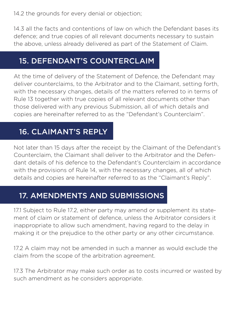14.2 the grounds for every denial or objection;

14.3 all the facts and contentions of law on which the Defendant bases its defence; and true copies of all relevant documents necessary to sustain the above, unless already delivered as part of the Statement of Claim.

#### 15. DEFENDANT'S COUNTERCLAIM

At the time of delivery of the Statement of Defence, the Defendant may deliver counterclaims, to the Arbitrator and to the Claimant, setting forth, with the necessary changes, details of the matters referred to in terms of Rule 13 together with true copies of all relevant documents other than those delivered with any previous Submission, all of which details and copies are hereinafter referred to as the "Defendant's Counterclaim".

#### 16. CLAIMANT'S REPLY

Not later than 15 days after the receipt by the Claimant of the Defendant's Counterclaim, the Claimant shall deliver to the Arbitrator and the Defendant details of his defence to the Defendant's Counterclaim in accordance with the provisions of Rule 14, with the necessary changes, all of which details and copies are hereinafter referred to as the "Claimant's Reply".

#### 17. AMENDMENTS AND SUBMISSIONS

17.1 Subject to Rule 17.2, either party may amend or supplement its statement of claim or statement of defence, unless the Arbitrator considers it inappropriate to allow such amendment, having regard to the delay in making it or the prejudice to the other party or any other circumstance.

17.2 A claim may not be amended in such a manner as would exclude the claim from the scope of the arbitration agreement.

17.3 The Arbitrator may make such order as to costs incurred or wasted by such amendment as he considers appropriate.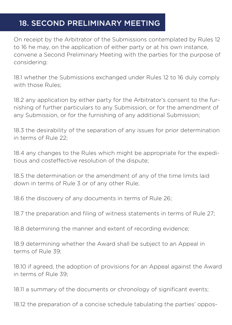### 18. SECOND PRELIMINARY MEETING

On receipt by the Arbitrator of the Submissions contemplated by Rules 12 to 16 he may, on the application of either party or at his own instance, convene a Second Preliminary Meeting with the parties for the purpose of considering:

18.1 whether the Submissions exchanged under Rules 12 to 16 duly comply with those Rules;

18.2 any application by either party for the Arbitrator's consent to the furnishing of further particulars to any Submission, or for the amendment of any Submission, or for the furnishing of any additional Submission;

18.3 the desirability of the separation of any issues for prior determination in terms of Rule 22;

18.4 any changes to the Rules which might be appropriate for the expeditious and costeffective resolution of the dispute;

18.5 the determination or the amendment of any of the time limits laid down in terms of Rule 3 or of any other Rule;

18.6 the discovery of any documents in terms of Rule 26;

18.7 the preparation and filing of witness statements in terms of Rule 27;

18.8 determining the manner and extent of recording evidence;

18.9 determining whether the Award shall be subject to an Appeal in terms of Rule 39;

18.10 if agreed, the adoption of provisions for an Appeal against the Award in terms of Rule 39;

18.11 a summary of the documents or chronology of significant events;

18.12 the preparation of a concise schedule tabulating the parties' oppos-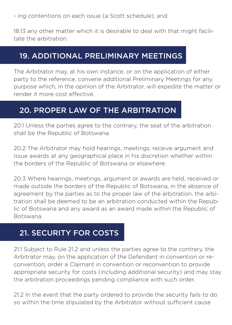18.13 any other matter which it is desirable to deal with that might facilitate the arbitration.

#### 19. ADDITIONAL PRELIMINARY MEETINGS

The Arbitrator may, at his own instance, or on the application of either party to the reference, convene additional Preliminary Meetings for any purpose which, in the opinion of the Arbitrator, will expedite the matter or render it more cost effective.

#### 20. PROPER LAW OF THE ARBITRATION

20.1 Unless the parties agree to the contrary, the seat of the arbitration shall be the Republic of Botswana.

20.2 The Arbitrator may hold hearings, meetings, receive argument and issue awards at any geographical place in his discretion whether within the borders of the Republic of Botswana or elsewhere.

20.3 Where hearings, meetings, argument or awards are held, received or made outside the borders of the Republic of Botswana, in the absence of agreement by the parties as to the proper law of the arbitration, the arbitration shall be deemed to be an arbitration conducted within the Republic of Botswana and any award as an award made within the Republic of Botswana.

# 21. SECURITY FOR COSTS

21.1 Subject to Rule 21.2 and unless the parties agree to the contrary, the Arbitrator may, on the application of the Defendant in convention or reconvention, order a Claimant in convention or reconvention to provide appropriate security for costs (including additional security) and may stay the arbitration proceedings pending compliance with such order.

21.2 In the event that the party ordered to provide the security fails to do so within the time stipulated by the Arbitrator without sufficient cause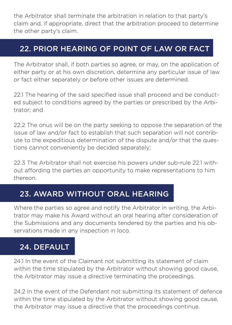the Arbitrator shall terminate the arbitration in relation to that party's claim and, if appropriate, direct that the arbitration proceed to determine the other party's claim.

### 22. PRIOR HEARING OF POINT OF LAW OR FACT

The Arbitrator shall, if both parties so agree, or may, on the application of either party or at his own discretion, determine any particular issue of law or fact either separately or before other issues are determined.

22.1 The hearing of the said specified issue shall proceed and be conducted subject to conditions agreed by the parties or prescribed by the Arbitrator; and

22.2 The onus will be on the party seeking to oppose the separation of the issue of law and/or fact to establish that such separation will not contribute to the expeditious determination of the dispute and/or that the questions cannot conveniently be decided separately;

22.3 The Arbitrator shall not exercise his powers under sub-rule 22.1 without affording the parties an opportunity to make representations to him thereon.

### 23. AWARD WITHOUT ORAL HEARING

Where the parties so agree and notify the Arbitrator in writing, the Arbitrator may make his Award without an oral hearing after consideration of the Submissions and any documents tendered by the parties and his observations made in any inspection in loco.

### 24. DEFAULT

24.1 In the event of the Claimant not submitting its statement of claim within the time stipulated by the Arbitrator without showing good cause, the Arbitrator may issue a directive terminating the proceedings.

24.2 In the event of the Defendant not submitting its statement of defence within the time stipulated by the Arbitrator without showing good cause, the Arbitrator may issue a directive that the proceedings continue.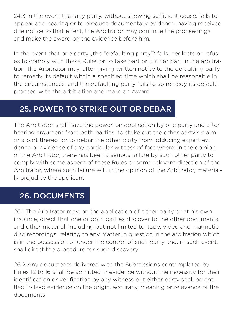24.3 In the event that any party, without showing sufficient cause, fails to appear at a hearing or to produce documentary evidence, having received due notice to that effect, the Arbitrator may continue the proceedings and make the award on the evidence before him.

In the event that one party (the "defaulting party") fails, neglects or refuses to comply with these Rules or to take part or further part in the arbitration, the Arbitrator may, after giving written notice to the defaulting party to remedy its default within a specified time which shall be reasonable in the circumstances, and the defaulting party fails to so remedy its default, proceed with the arbitration and make an Award.

### 25. POWER TO STRIKE OUT OR DEBAR

The Arbitrator shall have the power, on application by one party and after hearing argument from both parties, to strike out the other party's claim or a part thereof or to debar the other party from adducing expert evidence or evidence of any particular witness of fact where, in the opinion of the Arbitrator, there has been a serious failure by such other party to comply with some aspect of these Rules or some relevant direction of the Arbitrator, where such failure will, in the opinion of the Arbitrator, materially prejudice the applicant.

#### 26. DOCUMENTS

26.1 The Arbitrator may, on the application of either party or at his own instance, direct that one or both parties discover to the other documents and other material, including but not limited to, tape, video and magnetic disc recordings, relating to any matter in question in the arbitration which is in the possession or under the control of such party and, in such event, shall direct the procedure for such discovery.

26.2 Any documents delivered with the Submissions contemplated by Rules 12 to 16 shall be admitted in evidence without the necessity for their identification or verification by any witness but either party shall be entitled to lead evidence on the origin, accuracy, meaning or relevance of the documents.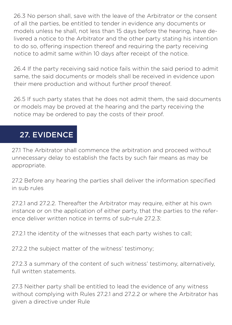26.3 No person shall, save with the leave of the Arbitrator or the consent of all the parties, be entitled to tender in evidence any documents or models unless he shall, not less than 15 days before the hearing, have delivered a notice to the Arbitrator and the other party stating his intention to do so, offering inspection thereof and requiring the party receiving notice to admit same within 10 days after receipt of the notice.

26.4 If the party receiving said notice fails within the said period to admit same, the said documents or models shall be received in evidence upon their mere production and without further proof thereof.

26.5 If such party states that he does not admit them, the said documents or models may be proved at the hearing and the party receiving the notice may be ordered to pay the costs of their proof.

# 27. EVIDENCE

27.1 The Arbitrator shall commence the arbitration and proceed without unnecessary delay to establish the facts by such fair means as may be appropriate.

27.2 Before any hearing the parties shall deliver the information specified in sub rules

27.2.1 and 27.2.2. Thereafter the Arbitrator may require, either at his own instance or on the application of either party, that the parties to the reference deliver written notice in terms of sub-rule 27.2.3:

27.2.1 the identity of the witnesses that each party wishes to call;

27.2.2 the subject matter of the witness' testimony;

27.2.3 a summary of the content of such witness' testimony, alternatively, full written statements.

27.3 Neither party shall be entitled to lead the evidence of any witness without complying with Rules 27.2.1 and 27.2.2 or where the Arbitrator has given a directive under Rule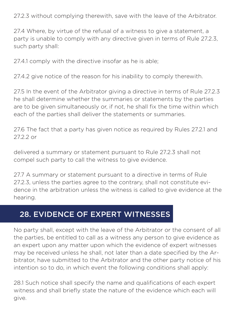27.2.3 without complying therewith, save with the leave of the Arbitrator.

27.4 Where, by virtue of the refusal of a witness to give a statement, a party is unable to comply with any directive given in terms of Rule 27.2.3, such party shall:

27.4.1 comply with the directive insofar as he is able;

27.4.2 give notice of the reason for his inability to comply therewith.

27.5 In the event of the Arbitrator giving a directive in terms of Rule 27.2.3 he shall determine whether the summaries or statements by the parties are to be given simultaneously or, if not, he shall fix the time within which each of the parties shall deliver the statements or summaries.

27.6 The fact that a party has given notice as required by Rules 27.2.1 and 27.2.2 or

delivered a summary or statement pursuant to Rule 27.2.3 shall not compel such party to call the witness to give evidence.

27.7 A summary or statement pursuant to a directive in terms of Rule 27.2.3, unless the parties agree to the contrary, shall not constitute evidence in the arbitration unless the witness is called to give evidence at the hearing.

#### 28. EVIDENCE OF EXPERT WITNESSES

No party shall, except with the leave of the Arbitrator or the consent of all the parties, be entitled to call as a witness any person to give evidence as an expert upon any matter upon which the evidence of expert witnesses may be received unless he shall, not later than a date specified by the Arbitrator, have submitted to the Arbitrator and the other party notice of his intention so to do, in which event the following conditions shall apply:

28.1 Such notice shall specify the name and qualifications of each expert witness and shall briefly state the nature of the evidence which each will give.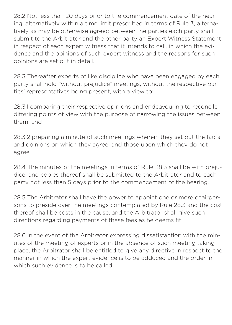28.2 Not less than 20 days prior to the commencement date of the hearing, alternatively within a time limit prescribed in terms of Rule 3, alternatively as may be otherwise agreed between the parties each party shall submit to the Arbitrator and the other party an Expert Witness Statement in respect of each expert witness that it intends to call, in which the evidence and the opinions of such expert witness and the reasons for such opinions are set out in detail.

28.3 Thereafter experts of like discipline who have been engaged by each party shall hold "without prejudice" meetings, without the respective parties' representatives being present, with a view to:

28.3.1 comparing their respective opinions and endeavouring to reconcile differing points of view with the purpose of narrowing the issues between them; and

28.3.2 preparing a minute of such meetings wherein they set out the facts and opinions on which they agree, and those upon which they do not agree.

28.4 The minutes of the meetings in terms of Rule 28.3 shall be with prejudice, and copies thereof shall be submitted to the Arbitrator and to each party not less than 5 days prior to the commencement of the hearing.

28.5 The Arbitrator shall have the power to appoint one or more chairpersons to preside over the meetings contemplated by Rule 28.3 and the cost thereof shall be costs in the cause, and the Arbitrator shall give such directions regarding payments of these fees as he deems fit.

28.6 In the event of the Arbitrator expressing dissatisfaction with the minutes of the meeting of experts or in the absence of such meeting taking place, the Arbitrator shall be entitled to give any directive in respect to the manner in which the expert evidence is to be adduced and the order in which such evidence is to be called.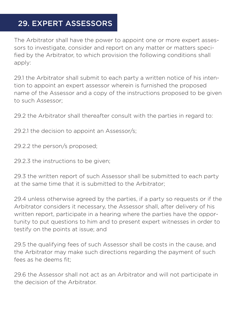# 29. EXPERT ASSESSORS

The Arbitrator shall have the power to appoint one or more expert assessors to investigate, consider and report on any matter or matters specified by the Arbitrator, to which provision the following conditions shall apply:

29.1 the Arbitrator shall submit to each party a written notice of his intention to appoint an expert assessor wherein is furnished the proposed name of the Assessor and a copy of the instructions proposed to be given to such Assessor;

29.2 the Arbitrator shall thereafter consult with the parties in regard to:

29.2.1 the decision to appoint an Assessor/s;

29.2.2 the person/s proposed;

29.2.3 the instructions to be given;

29.3 the written report of such Assessor shall be submitted to each party at the same time that it is submitted to the Arbitrator;

29.4 unless otherwise agreed by the parties, if a party so requests or if the Arbitrator considers it necessary, the Assessor shall, after delivery of his written report, participate in a hearing where the parties have the opportunity to put questions to him and to present expert witnesses in order to testify on the points at issue; and

29.5 the qualifying fees of such Assessor shall be costs in the cause, and the Arbitrator may make such directions regarding the payment of such fees as he deems fit;

29.6 the Assessor shall not act as an Arbitrator and will not participate in the decision of the Arbitrator.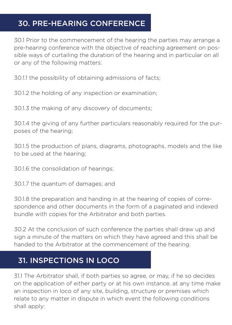# 30. PRE-HEARING CONFERENCE

30.1 Prior to the commencement of the hearing the parties may arrange a pre-hearing conference with the objective of reaching agreement on possible ways of curtailing the duration of the hearing and in particular on all or any of the following matters:

30.1.1 the possibility of obtaining admissions of facts;

30.1.2 the holding of any inspection or examination;

30.1.3 the making of any discovery of documents;

30.1.4 the giving of any further particulars reasonably required for the purposes of the hearing;

30.1.5 the production of plans, diagrams, photographs, models and the like to be used at the hearing;

30.1.6 the consolidation of hearings;

30.1.7 the quantum of damages; and

30.1.8 the preparation and handing in at the hearing of copies of correspondence and other documents in the form of a paginated and indexed bundle with copies for the Arbitrator and both parties.

30.2 At the conclusion of such conference the parties shall draw up and sign a minute of the matters on which they have agreed and this shall be handed to the Arbitrator at the commencement of the hearing.

# 31. INSPECTIONS IN LOCO

31.1 The Arbitrator shall, if both parties so agree, or may, if he so decides on the application of either party or at his own instance, at any time make an inspection in loco of any site, building, structure or premises which relate to any matter in dispute in which event the following conditions shall apply: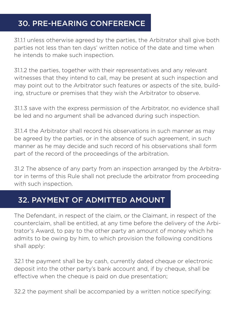# 30. PRE-HEARING CONFERENCE

31.1.1 unless otherwise agreed by the parties, the Arbitrator shall give both parties not less than ten days' written notice of the date and time when he intends to make such inspection.

31.1.2 the parties, together with their representatives and any relevant witnesses that they intend to call, may be present at such inspection and may point out to the Arbitrator such features or aspects of the site, building, structure or premises that they wish the Arbitrator to observe.

31.1.3 save with the express permission of the Arbitrator, no evidence shall be led and no argument shall be advanced during such inspection.

31.1.4 the Arbitrator shall record his observations in such manner as may be agreed by the parties, or in the absence of such agreement, in such manner as he may decide and such record of his observations shall form part of the record of the proceedings of the arbitration.

31.2 The absence of any party from an inspection arranged by the Arbitrator in terms of this Rule shall not preclude the arbitrator from proceeding with such inspection.

### 32. PAYMENT OF ADMITTED AMOUNT

The Defendant, in respect of the claim, or the Claimant, in respect of the counterclaim, shall be entitled, at any time before the delivery of the Arbitrator's Award, to pay to the other party an amount of money which he admits to be owing by him, to which provision the following conditions shall apply:

32.1 the payment shall be by cash, currently dated cheque or electronic deposit into the other party's bank account and, if by cheque, shall be effective when the cheque is paid on due presentation;

32.2 the payment shall be accompanied by a written notice specifying: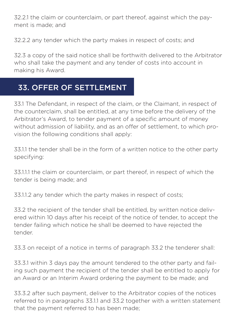32.2.1 the claim or counterclaim, or part thereof, against which the payment is made; and

32.2.2 any tender which the party makes in respect of costs; and

32.3 a copy of the said notice shall be forthwith delivered to the Arbitrator who shall take the payment and any tender of costs into account in making his Award.

#### 33. OFFER OF SETTLEMENT

33.1 The Defendant, in respect of the claim, or the Claimant, in respect of the counterclaim, shall be entitled, at any time before the delivery of the Arbitrator's Award, to tender payment of a specific amount of money without admission of liability, and as an offer of settlement, to which provision the following conditions shall apply:

33.1.1 the tender shall be in the form of a written notice to the other party specifying:

33.1.1.1 the claim or counterclaim, or part thereof, in respect of which the tender is being made; and

33.1.1.2 any tender which the party makes in respect of costs;

33.2 the recipient of the tender shall be entitled, by written notice delivered within 10 days after his receipt of the notice of tender, to accept the tender failing which notice he shall be deemed to have rejected the tender.

33.3 on receipt of a notice in terms of paragraph 33.2 the tenderer shall:

33.3.1 within 3 days pay the amount tendered to the other party and failing such payment the recipient of the tender shall be entitled to apply for an Award or an Interim Award ordering the payment to be made; and

33.3.2 after such payment, deliver to the Arbitrator copies of the notices referred to in paragraphs 33.1.1 and 33.2 together with a written statement that the payment referred to has been made;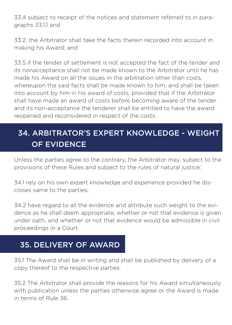33.4 subject to receipt of the notices and statement referred to in paragraphs 33.1.1 and

33.2, the Arbitrator shall take the facts therein recorded into account in making his Award; and

33.5 if the tender of settlement is not accepted the fact of the tender and its nonacceptance shall not be made known to the Arbitrator until he has made his Award on all the issues in the arbitration other than costs, whereupon the said facts shall be made known to him, and shall be taken into account by him in his award of costs, provided that if the Arbitrator shall have made an award of costs before becoming aware of the tender and its non-acceptance the tenderer shall be entitled to have the award reopened and reconsidered in respect of the costs.

# 34. ARBITRATOR'S EXPERT KNOWLEDGE - WEIGHT OF EVIDENCE

Unless the parties agree to the contrary, the Arbitrator may, subject to the provisions of these Rules and subject to the rules of natural justice:

34.1 rely on his own expert knowledge and experience provided he discloses same to the parties;

34.2 have regard to all the evidence and attribute such weight to the evidence as he shall deem appropriate, whether or not that evidence is given under oath, and whether or not that evidence would be admissible in civil proceedings in a Court.

#### 35. DELIVERY OF AWARD

35.1 The Award shall be in writing and shall be published by delivery of a copy thereof to the respective parties.

35.2 The Arbitrator shall provide the reasons for his Award simultaneously with publication unless the parties otherwise agree or the Award is made in terms of Rule 36.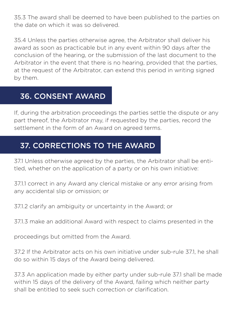35.3 The award shall be deemed to have been published to the parties on the date on which it was so delivered.

35.4 Unless the parties otherwise agree, the Arbitrator shall deliver his award as soon as practicable but in any event within 90 days after the conclusion of the hearing, or the submission of the last document to the Arbitrator in the event that there is no hearing, provided that the parties, at the request of the Arbitrator, can extend this period in writing signed by them.

#### 36. CONSENT AWARD

If, during the arbitration proceedings the parties settle the dispute or any part thereof, the Arbitrator may, if requested by the parties, record the settlement in the form of an Award on agreed terms.

### 37. CORRECTIONS TO THE AWARD

37.1 Unless otherwise agreed by the parties, the Arbitrator shall be entitled, whether on the application of a party or on his own initiative:

37.1.1 correct in any Award any clerical mistake or any error arising from any accidental slip or omission; or

37.1.2 clarify an ambiguity or uncertainty in the Award; or

37.1.3 make an additional Award with respect to claims presented in the

proceedings but omitted from the Award.

37.2 If the Arbitrator acts on his own initiative under sub-rule 37.1, he shall do so within 15 days of the Award being delivered.

37.3 An application made by either party under sub-rule 37.1 shall be made within 15 days of the delivery of the Award, failing which neither party shall be entitled to seek such correction or clarification.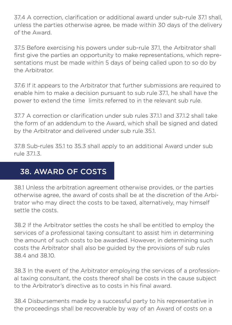37.4 A correction, clarification or additional award under sub-rule 37.1 shall, unless the parties otherwise agree, be made within 30 days of the delivery of the Award.

37.5 Before exercising his powers under sub-rule 37.1, the Arbitrator shall first give the parties an opportunity to make representations, which representations must be made within 5 days of being called upon to so do by the Arbitrator.

37.6 If it appears to the Arbitrator that further submissions are required to enable him to make a decision pursuant to sub rule 37.1, he shall have the power to extend the time limits referred to in the relevant sub rule.

37.7 A correction or clarification under sub rules 37.1.1 and 37.1.2 shall take the form of an addendum to the Award, which shall be signed and dated by the Arbitrator and delivered under sub rule 35.1.

37.8 Sub-rules 35.1 to 35.3 shall apply to an additional Award under sub rule 37.1.3.

### 38. AWARD OF COSTS

38.1 Unless the arbitration agreement otherwise provides, or the parties otherwise agree, the award of costs shall be at the discretion of the Arbitrator who may direct the costs to be taxed, alternatively, may himself settle the costs.

38.2 If the Arbitrator settles the costs he shall be entitled to employ the services of a professional taxing consultant to assist him in determining the amount of such costs to be awarded. However, in determining such costs the Arbitrator shall also be guided by the provisions of sub rules 38.4 and 38.10.

38.3 In the event of the Arbitrator employing the services of a professional taxing consultant, the costs thereof shall be costs in the cause subject to the Arbitrator's directive as to costs in his final award.

38.4 Disbursements made by a successful party to his representative in the proceedings shall be recoverable by way of an Award of costs on a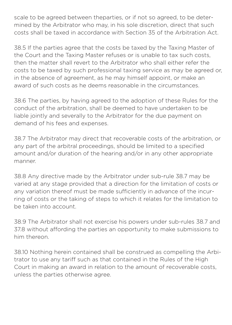scale to be agreed between theparties, or if not so agreed, to be determined by the Arbitrator who may, in his sole discretion, direct that such costs shall be taxed in accordance with Section 35 of the Arbitration Act.

38.5 If the parties agree that the costs be taxed by the Taxing Master of the Court and the Taxing Master refuses or is unable to tax such costs, then the matter shall revert to the Arbitrator who shall either refer the costs to be taxed by such professional taxing service as may be agreed or, in the absence of agreement, as he may himself appoint, or make an award of such costs as he deems reasonable in the circumstances.

38.6 The parties, by having agreed to the adoption of these Rules for the conduct of the arbitration, shall be deemed to have undertaken to be liable jointly and severally to the Arbitrator for the due payment on demand of his fees and expenses.

38.7 The Arbitrator may direct that recoverable costs of the arbitration, or any part of the arbitral proceedings, should be limited to a specified amount and/or duration of the hearing and/or in any other appropriate manner.

38.8 Any directive made by the Arbitrator under sub-rule 38.7 may be varied at any stage provided that a direction for the limitation of costs or any variation thereof must be made sufficiently in advance of the incurring of costs or the taking of steps to which it relates for the limitation to be taken into account.

38.9 The Arbitrator shall not exercise his powers under sub-rules 38.7 and 37.8 without affording the parties an opportunity to make submissions to him thereon.

38.10 Nothing herein contained shall be construed as compelling the Arbitrator to use any tariff such as that contained in the Rules of the High Court in making an award in relation to the amount of recoverable costs, unless the parties otherwise agree.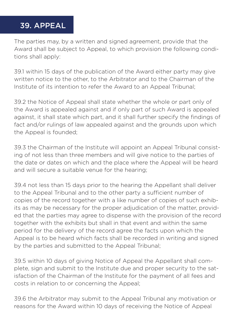#### 39. APPEAL

The parties may, by a written and signed agreement, provide that the Award shall be subject to Appeal, to which provision the following conditions shall apply:

39.1 within 15 days of the publication of the Award either party may give written notice to the other, to the Arbitrator and to the Chairman of the Institute of its intention to refer the Award to an Appeal Tribunal;

39.2 the Notice of Appeal shall state whether the whole or part only of the Award is appealed against and if only part of such Award is appealed against, it shall state which part, and it shall further specify the findings of fact and/or rulings of law appealed against and the grounds upon which the Appeal is founded;

39.3 the Chairman of the Institute will appoint an Appeal Tribunal consisting of not less than three members and will give notice to the parties of the date or dates on which and the place where the Appeal will be heard and will secure a suitable venue for the hearing;

39.4 not less than 15 days prior to the hearing the Appellant shall deliver to the Appeal Tribunal and to the other party a sufficient number of copies of the record together with a like number of copies of such exhibits as may be necessary for the proper adjudication of the matter, provided that the parties may agree to dispense with the provision of the record together with the exhibits but shall in that event and within the same period for the delivery of the record agree the facts upon which the Appeal is to be heard which facts shall be recorded in writing and signed by the parties and submitted to the Appeal Tribunal;

39.5 within 10 days of giving Notice of Appeal the Appellant shall complete, sign and submit to the Institute due and proper security to the satisfaction of the Chairman of the Institute for the payment of all fees and costs in relation to or concerning the Appeal;

39.6 the Arbitrator may submit to the Appeal Tribunal any motivation or reasons for the Award within 10 days of receiving the Notice of Appeal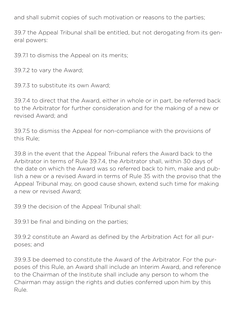and shall submit copies of such motivation or reasons to the parties;

39.7 the Appeal Tribunal shall be entitled, but not derogating from its general powers:

39.7.1 to dismiss the Appeal on its merits;

39.7.2 to vary the Award;

39.7.3 to substitute its own Award;

39.7.4 to direct that the Award, either in whole or in part, be referred back to the Arbitrator for further consideration and for the making of a new or revised Award; and

39.7.5 to dismiss the Appeal for non-compliance with the provisions of this Rule;

39.8 in the event that the Appeal Tribunal refers the Award back to the Arbitrator in terms of Rule 39.7.4, the Arbitrator shall, within 30 days of the date on which the Award was so referred back to him, make and publish a new or a revised Award in terms of Rule 35 with the proviso that the Appeal Tribunal may, on good cause shown, extend such time for making a new or revised Award;

39.9 the decision of the Appeal Tribunal shall:

39.9.1 be final and binding on the parties;

39.9.2 constitute an Award as defined by the Arbitration Act for all purposes; and

39.9.3 be deemed to constitute the Award of the Arbitrator. For the purposes of this Rule, an Award shall include an Interim Award, and reference to the Chairman of the Institute shall include any person to whom the Chairman may assign the rights and duties conferred upon him by this Rule.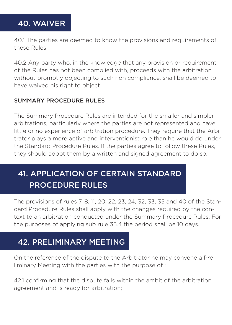# 40. WAIVER

40.1 The parties are deemed to know the provisions and requirements of these Rules.

40.2 Any party who, in the knowledge that any provision or requirement of the Rules has not been complied with, proceeds with the arbitration without promptly objecting to such non compliance, shall be deemed to have waived his right to object.

#### SUMMARY PROCEDURE RULES

The Summary Procedure Rules are intended for the smaller and simpler arbitrations, particularly where the parties are not represented and have little or no experience of arbitration procedure. They require that the Arbitrator plays a more active and interventionist role than he would do under the Standard Procedure Rules. If the parties agree to follow these Rules, they should adopt them by a written and signed agreement to do so.

# 41. APPLICATION OF CERTAIN STANDARD PROCEDURE RULES

The provisions of rules 7, 8, 11, 20, 22, 23, 24, 32, 33, 35 and 40 of the Standard Procedure Rules shall apply with the changes required by the context to an arbitration conducted under the Summary Procedure Rules. For the purposes of applying sub rule 35.4 the period shall be 10 days.

#### 42. PRELIMINARY MEETING

On the reference of the dispute to the Arbitrator he may convene a Preliminary Meeting with the parties with the purpose of :

42.1 confirming that the dispute falls within the ambit of the arbitration agreement and is ready for arbitration;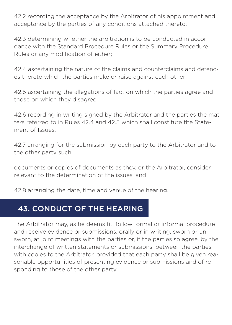42.2 recording the acceptance by the Arbitrator of his appointment and acceptance by the parties of any conditions attached thereto;

42.3 determining whether the arbitration is to be conducted in accordance with the Standard Procedure Rules or the Summary Procedure Rules or any modification of either;

42.4 ascertaining the nature of the claims and counterclaims and defences thereto which the parties make or raise against each other;

42.5 ascertaining the allegations of fact on which the parties agree and those on which they disagree;

42.6 recording in writing signed by the Arbitrator and the parties the matters referred to in Rules 42.4 and 42.5 which shall constitute the Statement of Issues;

42.7 arranging for the submission by each party to the Arbitrator and to the other party such

documents or copies of documents as they, or the Arbitrator, consider relevant to the determination of the issues; and

42.8 arranging the date, time and venue of the hearing.

#### 43. CONDUCT OF THE HEARING

The Arbitrator may, as he deems fit, follow formal or informal procedure and receive evidence or submissions, orally or in writing, sworn or unsworn, at joint meetings with the parties or, if the parties so agree, by the interchange of written statements or submissions, between the parties with copies to the Arbitrator, provided that each party shall be given reasonable opportunities of presenting evidence or submissions and of responding to those of the other party.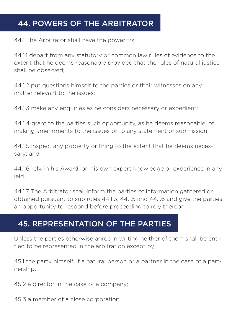# 44. POWERS OF THE ARBITRATOR

44.1 The Arbitrator shall have the power to:

44.1.1 depart from any statutory or common law rules of evidence to the extent that he deems reasonable provided that the rules of natural justice shall be observed;

44.1.2 put questions himself to the parties or their witnesses on any matter relevant to the issues;

44.1.3 make any enquiries as he considers necessary or expedient;

44.1.4 grant to the parties such opportunity, as he deems reasonable, of making amendments to the issues or to any statement or submission;

44.1.5 inspect any property or thing to the extent that he deems necessary; and

44.1.6 rely, in his Award, on his own expert knowledge or experience in any ield.

44.1.7 The Arbitrator shall inform the parties of information gathered or obtained pursuant to sub rules 44.1.3, 44.1.5 and 44.1.6 and give the parties an opportunity to respond before proceeding to rely thereon.

#### 45. REPRESENTATION OF THE PARTIES

Unless the parties otherwise agree in writing neither of them shall be entitled to be represented in the arbitration except by;

45.1 the party himself, if a natural person or a partner in the case of a partnership;

45.2 a director in the case of a company;

45.3 a member of a close corporation;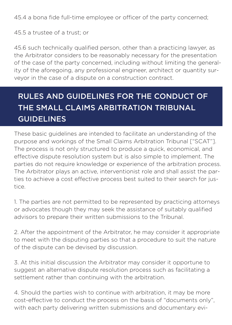45.4 a bona fide full-time employee or officer of the party concerned;

45.5 a trustee of a trust; or

45.6 such technically qualified person, other than a practicing lawyer, as the Arbitrator considers to be reasonably necessary for the presentation of the case of the party concerned, including without limiting the generality of the aforegoing, any professional engineer, architect or quantity surveyor in the case of a dispute on a construction contract.

# RULES AND GUIDELINES FOR THE CONDUCT OF THE SMALL CLAIMS ARBITRATION TRIBUNAL GUIDELINES

These basic guidelines are intended to facilitate an understanding of the purpose and workings of the Small Claims Arbitration Tribunal ["SCAT"]. The process is not only structured to produce a quick, economical, and effective dispute resolution system but is also simple to implement. The parties do not require knowledge or experience of the arbitration process. The Arbitrator plays an active, interventionist role and shall assist the parties to achieve a cost effective process best suited to their search for justice.

1. The parties are not permitted to be represented by practicing attorneys or advocates though they may seek the assistance of suitably qualified advisors to prepare their written submissions to the Tribunal.

2. After the appointment of the Arbitrator, he may consider it appropriate to meet with the disputing parties so that a procedure to suit the nature of the dispute can be devised by discussion.

3. At this initial discussion the Arbitrator may consider it opportune to suggest an alternative dispute resolution process such as facilitating a settlement rather than continuing with the arbitration.

4. Should the parties wish to continue with arbitration, it may be more cost-effective to conduct the process on the basis of "documents only", with each party delivering written submissions and documentary evi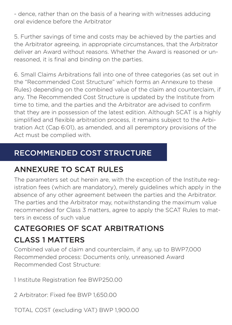- dence, rather than on the basis of a hearing with witnesses adducing oral evidence before the Arbitrator

5. Further savings of time and costs may be achieved by the parties and the Arbitrator agreeing, in appropriate circumstances, that the Arbitrator deliver an Award without reasons. Whether the Award is reasoned or unreasoned, it is final and binding on the parties.

6. Small Claims Arbitrations fall into one of three categories (as set out in the "Recommended Cost Structure" which forms an Annexure to these Rules) depending on the combined value of the claim and counterclaim, if any. The Recommended Cost Structure is updated by the Institute from time to time, and the parties and the Arbitrator are advised to confirm that they are in possession of the latest edition. Although SCAT is a highly simplified and flexible arbitration process, it remains subject to the Arbitration Act (Cap 6:01), as amended, and all peremptory provisions of the Act must be complied with.

# RECOMMENDED COST STRUCTURE

# ANNEXURE TO SCAT RULES

The parameters set out herein are, with the exception of the Institute registration fees (which are mandatory), merely guidelines which apply in the absence of any other agreement between the parties and the Arbitrator. The parties and the Arbitrator may, notwithstanding the maximum value recommended for Class 3 matters, agree to apply the SCAT Rules to matters in excess of such value

# CATEGORIES OF SCAT ARBITRATIONS CLASS 1 MATTERS

Combined value of claim and counterclaim, if any, up to BWP7,000 Recommended process: Documents only, unreasoned Award Recommended Cost Structure:

1 Institute Registration fee BWP250.00

2 Arbitrator: Fixed fee BWP 1,650.00

TOTAL COST (excluding VAT) BWP 1,900.00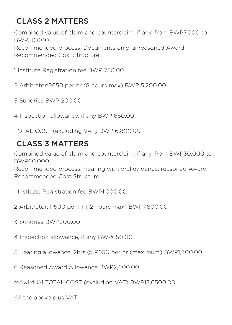# CLASS 2 MATTERS

Combined value of claim and counterclaim, if any, from BWP7,000 to BWP30,000 Recommended process: Documents only, unreasoned Award Recommended Cost Structure:

1 Institute Registration fee BWP 750.00

2 Arbitrator:P650 per hr (8 hours max) BWP 5,200.00

3 Sundries BWP 200.00

4 Inspection allowance, if any BWP 650.00

TOTAL COST (excluding VAT) BWP 6,800.00

# CLASS 3 MATTERS

Combined value of claim and counterclaim, if any, from BWP30,000 to BWP60,000

Recommended process: Hearing with oral evidence, reasoned Award Recommended Cost Structure:

1 Institute Registration fee BWP1,000.00

- 2 Arbitrator: P500 per hr (12 hours max) BWP7,800.00
- 3 Sundries BWP300.00

4 Inspection allowance, if any BWP650.00

5 Hearing allowance, 2hrs @ P650 per hr (maximum) BWP1,300.00

6 Reasoned Award Allowance BWP2,600.00

MAXIMUM TOTAL COST (excluding VAT) BWP13,6500.00

All the above plus VAT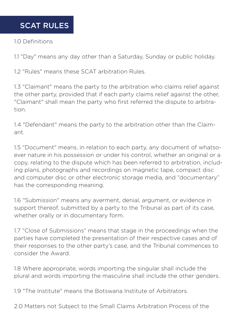#### SCAT RULES

#### 1.0 Definitions

1.1 "Day" means any day other than a Saturday, Sunday or public holiday.

1.2 "Rules" means these SCAT arbitration Rules.

1.3 "Claimant" means the party to the arbitration who claims relief against the other party, provided that if each party claims relief against the other, "Claimant" shall mean the party who first referred the dispute to arbitration.

1.4 "Defendant" means the party to the arbitration other than the Claimant.

1.5 "Document" means, in relation to each party, any document of whatsoever nature in his possession or under his control, whether an original or a copy, relating to the dispute which has been referred to arbitration, including plans, photographs and recordings on magnetic tape, compact disc and computer disc or other electronic storage media, and "documentary" has the corresponding meaning.

1.6 "Submission" means any averment, denial, argument, or evidence in support thereof, submitted by a party to the Tribunal as part of its case, whether orally or in documentary form.

1.7 "Close of Submissions" means that stage in the proceedings when the parties have completed the presentation of their respective cases and of their responses to the other party's case, and the Tribunal commences to consider the Award.

1.8 Where appropriate, words importing the singular shall include the plural and words importing the masculine shall include the other genders.

1.9 "The Institute" means the Botswana Institute of Arbitrators.

2.0 Matters not Subject to the Small Claims Arbitration Process of the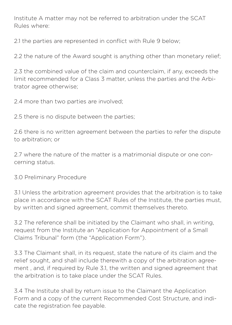Institute A matter may not be referred to arbitration under the SCAT Rules where:

2.1 the parties are represented in conflict with Rule 9 below;

2.2 the nature of the Award sought is anything other than monetary relief;

2.3 the combined value of the claim and counterclaim, if any, exceeds the limit recommended for a Class 3 matter, unless the parties and the Arbitrator agree otherwise;

2.4 more than two parties are involved;

2.5 there is no dispute between the parties;

2.6 there is no written agreement between the parties to refer the dispute to arbitration; or

2.7 where the nature of the matter is a matrimonial dispute or one concerning status.

3.0 Preliminary Procedure

3.1 Unless the arbitration agreement provides that the arbitration is to take place in accordance with the SCAT Rules of the Institute, the parties must, by written and signed agreement, commit themselves thereto.

3.2 The reference shall be initiated by the Claimant who shall, in writing, request from the Institute an "Application for Appointment of a Small Claims Tribunal" form (the "Application Form").

3.3 The Claimant shall, in its request, state the nature of its claim and the relief sought, and shall include therewith a copy of the arbitration agreement , and, if required by Rule 3.1, the written and signed agreement that the arbitration is to take place under the SCAT Rules.

3.4 The Institute shall by return issue to the Claimant the Application Form and a copy of the current Recommended Cost Structure, and indicate the registration fee payable.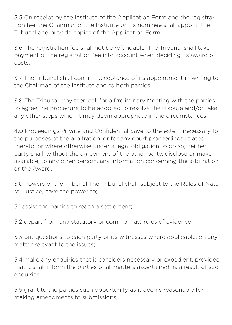3.5 On receipt by the Institute of the Application Form and the registration fee, the Chairman of the Institute or his nominee shall appoint the Tribunal and provide copies of the Application Form.

3.6 The registration fee shall not be refundable. The Tribunal shall take payment of the registration fee into account when deciding its award of costs.

3.7 The Tribunal shall confirm acceptance of its appointment in writing to the Chairman of the Institute and to both parties.

3.8 The Tribunal may then call for a Preliminary Meeting with the parties to agree the procedure to be adopted to resolve the dispute and/or take any other steps which it may deem appropriate in the circumstances.

4.0 Proceedings Private and Confidential Save to the extent necessary for the purposes of the arbitration, or for any court proceedings related thereto, or where otherwise under a legal obligation to do so, neither party shall, without the agreement of the other party, disclose or make available, to any other person, any information concerning the arbitration or the Award.

5.0 Powers of the Tribunal The Tribunal shall, subject to the Rules of Natural Justice, have the power to;

5.1 assist the parties to reach a settlement;

5.2 depart from any statutory or common law rules of evidence;

5.3 put questions to each party or its witnesses where applicable, on any matter relevant to the issues;

5.4 make any enquiries that it considers necessary or expedient, provided that it shall inform the parties of all matters ascertained as a result of such enquiries;

5.5 grant to the parties such opportunity as it deems reasonable for making amendments to submissions;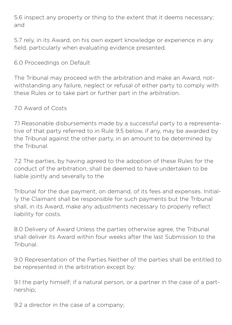5.6 inspect any property or thing to the extent that it deems necessary; and

5.7 rely, in its Award, on his own expert knowledge or experience in any field, particularly when evaluating evidence presented.

#### 6.0 Proceedings on Default

The Tribunal may proceed with the arbitration and make an Award, notwithstanding any failure, neglect or refusal of either party to comply with these Rules or to take part or further part in the arbitration.

#### 7.0 Award of Costs

7.1 Reasonable disbursements made by a successful party to a representative of that party referred to in Rule 9.5 below, if any, may be awarded by the Tribunal against the other party, in an amount to be determined by the Tribunal.

7.2 The parties, by having agreed to the adoption of these Rules for the conduct of the arbitration, shall be deemed to have undertaken to be liable jointly and severally to the

Tribunal for the due payment, on demand, of its fees and expenses. Initially the Claimant shall be responsible for such payments but the Tribunal shall, in its Award, make any adjustments necessary to properly reflect liability for costs.

8.0 Delivery of Award Unless the parties otherwise agree, the Tribunal shall deliver its Award within four weeks after the last Submission to the Tribunal.

9.0 Representation of the Parties Neither of the parties shall be entitled to be represented in the arbitration except by:

9.1 the party himself; if a natural person, or a partner in the case of a partnership;

9.2 a director in the case of a company;